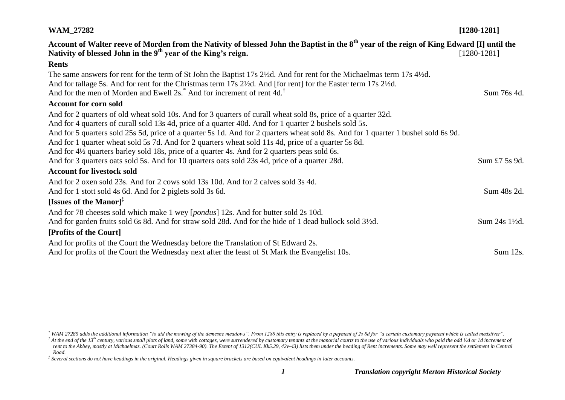| <b>WAM_27282</b>                                                                                                                                                                                                                                                                                                                                                                                                                                                     | $[1280-1281]$ |
|----------------------------------------------------------------------------------------------------------------------------------------------------------------------------------------------------------------------------------------------------------------------------------------------------------------------------------------------------------------------------------------------------------------------------------------------------------------------|---------------|
| Account of Walter reeve of Morden from the Nativity of blessed John the Baptist in the 8 <sup>th</sup> year of the reign of King Edward [I] until the<br>Nativity of blessed John in the 9 <sup>th</sup> year of the King's reign.                                                                                                                                                                                                                                   | $[1280-1281]$ |
| <b>Rents</b>                                                                                                                                                                                                                                                                                                                                                                                                                                                         |               |
| The same answers for rent for the term of St John the Baptist 17s 2½d. And for rent for the Michaelmas term 17s 4½d.<br>And for tallage 5s. And for rent for the Christmas term 17s 2½d. And [for rent] for the Easter term 17s 2½d.<br>And for the men of Morden and Ewell 2s. <sup>*</sup> And for increment of rent 4d. <sup>†</sup>                                                                                                                              | Sum 76s 4d.   |
| <b>Account for corn sold</b>                                                                                                                                                                                                                                                                                                                                                                                                                                         |               |
| And for 2 quarters of old wheat sold 10s. And for 3 quarters of curall wheat sold 8s, price of a quarter 32d.<br>And for 4 quarters of curall sold 13s 4d, price of a quarter 40d. And for 1 quarter 2 bushels sold 5s.<br>And for 5 quarters sold 25s 5d, price of a quarter 5s 1d. And for 2 quarters wheat sold 8s. And for 1 quarter 1 bushel sold 6s 9d.<br>And for 1 quarter wheat sold 5s 7d. And for 2 quarters wheat sold 11s 4d, price of a quarter 5s 8d. |               |
| And for 4½ quarters barley sold 18s, price of a quarter 4s. And for 2 quarters peas sold 6s.                                                                                                                                                                                                                                                                                                                                                                         |               |
| And for 3 quarters oats sold 5s. And for 10 quarters oats sold 23s 4d, price of a quarter 28d.                                                                                                                                                                                                                                                                                                                                                                       | Sum £7 5s 9d. |
| <b>Account for livestock sold</b>                                                                                                                                                                                                                                                                                                                                                                                                                                    |               |
| And for 2 oxen sold 23s. And for 2 cows sold 13s 10d. And for 2 calves sold 3s 4d.<br>And for 1 stott sold 4s 6d. And for 2 piglets sold 3s 6d.                                                                                                                                                                                                                                                                                                                      | Sum 48s 2d.   |
| [Issues of the Manor] $^{\ddagger}$                                                                                                                                                                                                                                                                                                                                                                                                                                  |               |
| And for 78 cheeses sold which make 1 wey [pondus] 12s. And for butter sold 2s 10d.                                                                                                                                                                                                                                                                                                                                                                                   |               |
| And for garden fruits sold 6s 8d. And for straw sold 28d. And for the hide of 1 dead bullock sold 3 <sup>1</sup> /2d.                                                                                                                                                                                                                                                                                                                                                | Sum 24s 1½d.  |
| [Profits of the Court]                                                                                                                                                                                                                                                                                                                                                                                                                                               |               |
| And for profits of the Court the Wednesday before the Translation of St Edward 2s.                                                                                                                                                                                                                                                                                                                                                                                   |               |
| And for profits of the Court the Wednesday next after the feast of St Mark the Evangelist 10s.                                                                                                                                                                                                                                                                                                                                                                       | Sum 12s.      |

 $\overline{a}$ 

*<sup>\*</sup> WAM 27285 adds the additional information "to aid the mowing of the demesne meadows". From 1288 this entry is replaced by a payment of 2s 8d for "a certain customary payment which is called medsilver".*  $\phi$  and the end of the 13<sup>th</sup> century, various small plots of land, some with cottages, were surrendered by customary tenants at the manorial courts to the use of various individuals who paid the odd  $\frac{1}{2}$  or 1d incr rent to the Abbey, mostly at Michaelmas. (Court Rolls WAM 27384-90). The Extent of 1312(CUL Kk5.29, 42v-43) lists them under the heading of Rent increments. Some may well represent the settlement in Central

*Road.*

*<sup>‡</sup> Several sections do not have headings in the original. Headings given in square brackets are based on equivalent headings in later accounts.*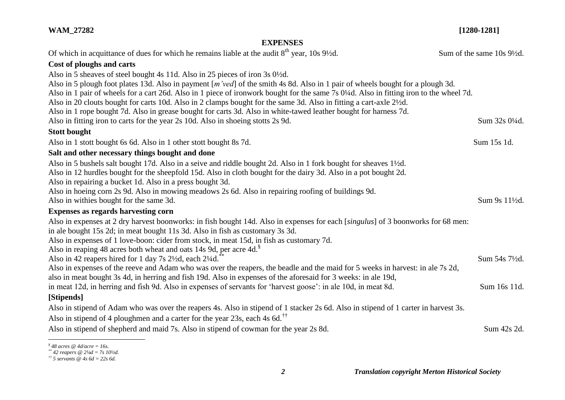### **WAM\_27282 [1280-1281]**

### **EXPENSES**

| Of which in acquittance of dues for which he remains liable at the audit $8th$ year, 10s 9 <sup>1</sup> / <sub>2</sub> d.              | Sum of the same 10s 9½d. |  |
|----------------------------------------------------------------------------------------------------------------------------------------|--------------------------|--|
| Cost of ploughs and carts                                                                                                              |                          |  |
| Also in 5 sheaves of steel bought 4s 11d. Also in 25 pieces of iron 3s 0 <sup>1</sup> /2d.                                             |                          |  |
| Also in 5 plough foot plates 13d. Also in payment [m'ved] of the smith 4s 8d. Also in 1 pair of wheels bought for a plough 3d.         |                          |  |
| Also in 1 pair of wheels for a cart 26d. Also in 1 piece of ironwork bought for the same 7s 0¼d. Also in fitting iron to the wheel 7d. |                          |  |
| Also in 20 clouts bought for carts 10d. Also in 2 clamps bought for the same 3d. Also in fitting a cart-axle 21/2d.                    |                          |  |
| Also in 1 rope bought 7d. Also in grease bought for carts 3d. Also in white-tawed leather bought for harness 7d.                       |                          |  |
| Also in fitting iron to carts for the year 2s 10d. Also in shoeing stotts 2s 9d.                                                       | Sum 32s 01/4d.           |  |
| <b>Stott bought</b>                                                                                                                    |                          |  |
| Also in 1 stott bought 6s 6d. Also in 1 other stott bought 8s 7d.                                                                      | Sum 15s 1d.              |  |
| Salt and other necessary things bought and done                                                                                        |                          |  |
| Also in 5 bushels salt bought 17d. Also in a seive and riddle bought 2d. Also in 1 fork bought for sheaves 1 <sup>1</sup> /2d.         |                          |  |
| Also in 12 hurdles bought for the sheepfold 15d. Also in cloth bought for the dairy 3d. Also in a pot bought 2d.                       |                          |  |
| Also in repairing a bucket 1d. Also in a press bought 3d.                                                                              |                          |  |
| Also in hoeing corn 2s 9d. Also in mowing meadows 2s 6d. Also in repairing roofing of buildings 9d.                                    |                          |  |
| Also in withies bought for the same 3d.                                                                                                | Sum 9s 11½d.             |  |
| <b>Expenses as regards harvesting corn</b>                                                                                             |                          |  |
| Also in expenses at 2 dry harvest boonworks: in fish bought 14d. Also in expenses for each [singulus] of 3 boonworks for 68 men:       |                          |  |
| in ale bought 15s 2d; in meat bought 11s 3d. Also in fish as customary 3s 3d.                                                          |                          |  |
| Also in expenses of 1 love-boon: cider from stock, in meat 15d, in fish as customary 7d.                                               |                          |  |
| Also in reaping 48 acres both wheat and oats 14s 9d, per acre 4d. <sup>8</sup>                                                         |                          |  |
| Also in 42 reapers hired for 1 day 7s 2½d, each 2¼d.                                                                                   | Sum 54s 71/2d.           |  |
| Also in expenses of the reeve and Adam who was over the reapers, the beadle and the maid for 5 weeks in harvest: in ale 7s 2d,         |                          |  |
| also in meat bought 3s 4d, in herring and fish 19d. Also in expenses of the aforesaid for 3 weeks: in ale 19d,                         |                          |  |
| in meat 12d, in herring and fish 9d. Also in expenses of servants for 'harvest goose': in ale 10d, in meat 8d.                         | Sum 16s 11d.             |  |
| [Stipends]                                                                                                                             |                          |  |
| Also in stipend of Adam who was over the reapers 4s. Also in stipend of 1 stacker 2s 6d. Also in stipend of 1 carter in harvest 3s.    |                          |  |
| Also in stipend of 4 ploughmen and a carter for the year 23s, each 4s 6d. <sup>††</sup>                                                |                          |  |
| Also in stipend of shepherd and maid 7s. Also in stipend of cowman for the year 2s 8d.                                                 | Sum 42s 2d.              |  |
| $\frac{1}{2}$ 48 acres @ 4d/acre = 16s.                                                                                                |                          |  |

*<sup>\*\*</sup> 42 reapers @ 2¼d = 7s 10½d.*

*<sup>††</sup> 5 servants @ 4s 6d = 22s 6d.*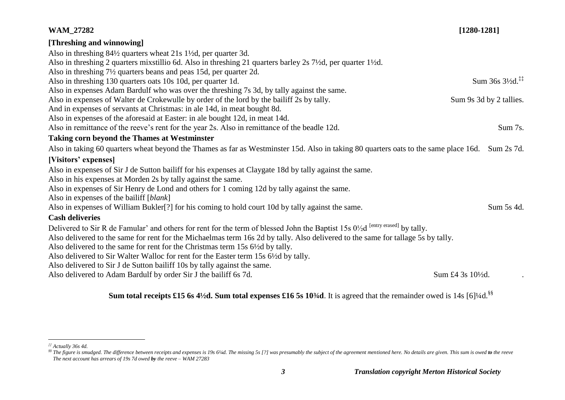| <b>WAM_27282</b>                                                                                                                                       | $[1280-1281]$                               |
|--------------------------------------------------------------------------------------------------------------------------------------------------------|---------------------------------------------|
| [Threshing and winnowing]                                                                                                                              |                                             |
| Also in threshing 84½ quarters wheat 21s 1½d, per quarter 3d.                                                                                          |                                             |
| Also in threshing 2 quarters mixstillio 6d. Also in threshing 21 quarters barley 2s 7½d, per quarter 1½d.                                              |                                             |
| Also in threshing 7 <sup>1</sup> / <sub>2</sub> quarters beans and peas 15d, per quarter 2d.                                                           |                                             |
| Also in threshing 130 quarters oats 10s 10d, per quarter 1d.                                                                                           | Sum $36s$ $3\frac{1}{2}d$ . <sup>**</sup>   |
| Also in expenses Adam Bardulf who was over the threshing 7s 3d, by tally against the same.                                                             |                                             |
| Also in expenses of Walter de Crokewulle by order of the lord by the bailiff 2s by tally.                                                              | Sum 9s 3d by 2 tallies.                     |
| And in expenses of servants at Christmas: in ale 14d, in meat bought 8d.                                                                               |                                             |
| Also in expenses of the aforesaid at Easter: in ale bought 12d, in meat 14d.                                                                           |                                             |
| Also in remittance of the reeve's rent for the year 2s. Also in remittance of the beadle 12d.                                                          | Sum 7s.                                     |
| <b>Taking corn beyond the Thames at Westminster</b>                                                                                                    |                                             |
| Also in taking 60 quarters wheat beyond the Thames as far as Westminster 15d. Also in taking 80 quarters oats to the same place 16d.                   | Sum 2s 7d.                                  |
| [Visitors' expenses]                                                                                                                                   |                                             |
| Also in expenses of Sir J de Sutton bailiff for his expenses at Claygate 18d by tally against the same.                                                |                                             |
| Also in his expenses at Morden 2s by tally against the same.                                                                                           |                                             |
| Also in expenses of Sir Henry de Lond and others for 1 coming 12d by tally against the same.                                                           |                                             |
| Also in expenses of the bailiff [blank]                                                                                                                |                                             |
| Also in expenses of William Bukler[?] for his coming to hold court 10d by tally against the same.                                                      | Sum 5s 4d.                                  |
| <b>Cash deliveries</b>                                                                                                                                 |                                             |
| Delivered to Sir R de Famular' and others for rent for the term of blessed John the Baptist 15s 0 <sup>1/2</sup> d <sup>[entry erased]</sup> by tally. |                                             |
| Also delivered to the same for rent for the Michaelmas term 16s 2d by tally. Also delivered to the same for tallage 5s by tally.                       |                                             |
| Also delivered to the same for rent for the Christmas term 15s 6½ dby tally.                                                                           |                                             |
| Also delivered to Sir Walter Walloc for rent for the Easter term 15s 6 <sup>1/2</sup> d by tally.                                                      |                                             |
| Also delivered to Sir J de Sutton bailiff 10s by tally against the same.                                                                               |                                             |
| Also delivered to Adam Bardulf by order Sir J the bailiff 6s 7d.                                                                                       | Sum £4 3s 10 <sup>1</sup> / <sub>2</sub> d. |

# **Sum total receipts £15 6s 4½d. Sum total expenses £16 5s 10¾d.** It is agreed that the remainder owed is 14s [6]¼d.<sup>§§</sup>

 $\overline{a}$ *‡‡ Actually 36s 4d.*

<sup>&</sup>lt;sup>\$\$</sup> The figure is smudged. The difference between receipts and expenses is 19s 61/4d. The missing 5s [?] was presumably the subject of the agreement mentioned here. No details are given. This sum is owed to the reeve *The next account has arrears of 19s 7d owed by the reeve – WAM 27283*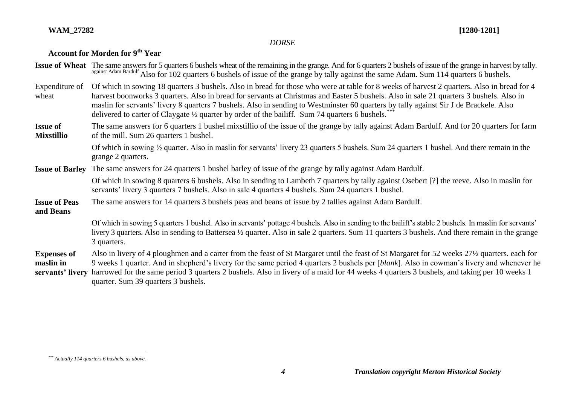### **WAM\_27282 [1280-1281]**

### *DORSE*

## **Account for Morden for 9th Year**

|                                                     | Issue of Wheat The same answers for 5 quarters 6 bushels wheat of the remaining in the grange. And for 6 quarters 2 bushels of issue of the grange in harvest by tally.<br>against Adam Bardulf Also for 102 quarters 6 bushels of issue of the grange by tally against the same Adam. Sum 114 quarters 6 bushels.                                                                                                                                                                                                                |
|-----------------------------------------------------|-----------------------------------------------------------------------------------------------------------------------------------------------------------------------------------------------------------------------------------------------------------------------------------------------------------------------------------------------------------------------------------------------------------------------------------------------------------------------------------------------------------------------------------|
| Expenditure of<br>wheat                             | Of which in sowing 18 quarters 3 bushels. Also in bread for those who were at table for 8 weeks of harvest 2 quarters. Also in bread for 4<br>harvest boonworks 3 quarters. Also in bread for servants at Christmas and Easter 5 bushels. Also in sale 21 quarters 3 bushels. Also in<br>maslin for servants' livery 8 quarters 7 bushels. Also in sending to Westminster 60 quarters by tally against Sir J de Brackele. Also<br>delivered to carter of Claygate 1/2 quarter by order of the bailiff. Sum 74 quarters 6 bushels. |
| <b>Issue of</b><br><b>Mixstillio</b>                | The same answers for 6 quarters 1 bushel mixstillio of the issue of the grange by tally against Adam Bardulf. And for 20 quarters for farm<br>of the mill. Sum 26 quarters 1 bushel.                                                                                                                                                                                                                                                                                                                                              |
|                                                     | Of which in sowing 1/2 quarter. Also in maslin for servants' livery 23 quarters 5 bushels. Sum 24 quarters 1 bushel. And there remain in the<br>grange 2 quarters.                                                                                                                                                                                                                                                                                                                                                                |
| <b>Issue of Barley</b>                              | The same answers for 24 quarters 1 bushel barley of issue of the grange by tally against Adam Bardulf.                                                                                                                                                                                                                                                                                                                                                                                                                            |
|                                                     | Of which in sowing 8 quarters 6 bushels. Also in sending to Lambeth 7 quarters by tally against Osebert [?] the reeve. Also in maslin for<br>servants' livery 3 quarters 7 bushels. Also in sale 4 quarters 4 bushels. Sum 24 quarters 1 bushel.                                                                                                                                                                                                                                                                                  |
| <b>Issue of Peas</b><br>and Beans                   | The same answers for 14 quarters 3 bushels peas and beans of issue by 2 tallies against Adam Bardulf.                                                                                                                                                                                                                                                                                                                                                                                                                             |
|                                                     | Of which in sowing 5 quarters 1 bushel. Also in servants' pottage 4 bushels. Also in sending to the bailiff's stable 2 bushels. In maslin for servants'<br>livery 3 quarters. Also in sending to Battersea 1/2 quarter. Also in sale 2 quarters. Sum 11 quarters 3 bushels. And there remain in the grange<br>3 quarters.                                                                                                                                                                                                         |
| <b>Expenses of</b><br>maslin in<br>servants' livery | Also in livery of 4 ploughmen and a carter from the feast of St Margaret until the feast of St Margaret for 52 weeks 27 <sup>1</sup> /2 quarters. each for<br>9 weeks 1 quarter. And in shepherd's livery for the same period 4 quarters 2 bushels per [blank]. Also in cowman's livery and whenever he<br>harrowed for the same period 3 quarters 2 bushels. Also in livery of a maid for 44 weeks 4 quarters 3 bushels, and taking per 10 weeks 1<br>quarter. Sum 39 quarters 3 bushels.                                        |

 $\overline{a}$ 

*<sup>\*\*\*</sup> Actually 114 quarters 6 bushels, as above.*